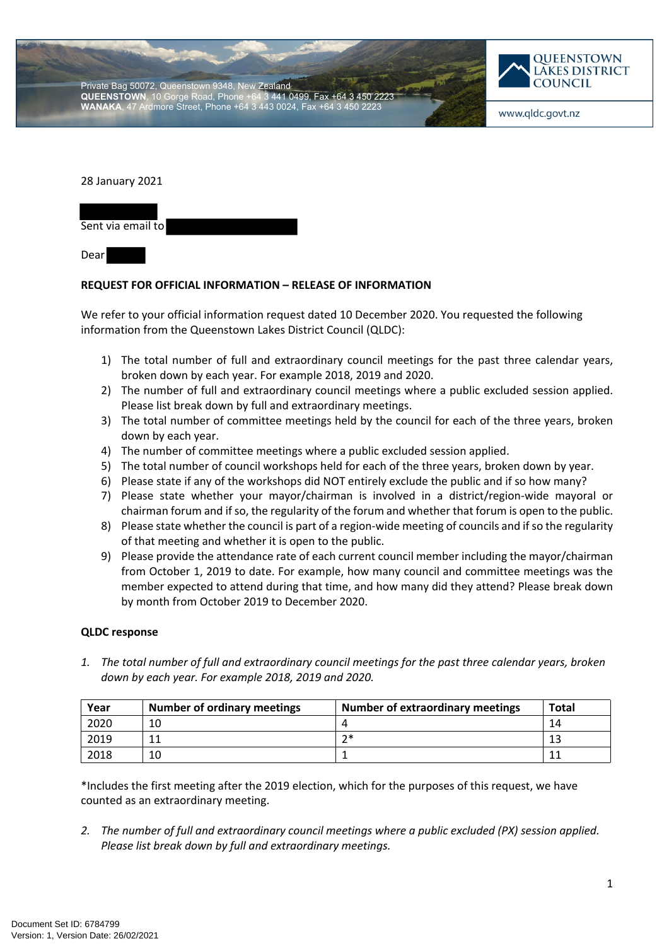Private Bag 50072, Queenstown 9348, New Zealand<br>**QUEENSTOWN**, 10 Gorge Road, Phone +64 3 441 0499, Fax +64 3 450 2223 **QUEENSTOWN**, 10 Gorge Road, Phone Ardmore Street, Phone +64 3 443 0024, Fax +64 3 450



www.qldc.govt.nz

28 January 2021

Sent via email to Dear

## **REQUEST FOR OFFICIAL INFORMATION – RELEASE OF INFORMATION**

We refer to your official information request dated 10 December 2020. You requested the following information from the Queenstown Lakes District Council (QLDC):

- 1) The total number of full and extraordinary council meetings for the past three calendar years, broken down by each year. For example 2018, 2019 and 2020.
- 2) The number of full and extraordinary council meetings where a public excluded session applied. Please list break down by full and extraordinary meetings.
- 3) The total number of committee meetings held by the council for each of the three years, broken down by each year.
- 4) The number of committee meetings where a public excluded session applied.
- 5) The total number of council workshops held for each of the three years, broken down by year.
- 6) Please state if any of the workshops did NOT entirely exclude the public and if so how many?
- 7) Please state whether your mayor/chairman is involved in a district/region-wide mayoral or chairman forum and if so, the regularity of the forum and whether that forum is open to the public.
- 8) Please state whether the council is part of a region-wide meeting of councils and if so the regularity of that meeting and whether it is open to the public.
- 9) Please provide the attendance rate of each current council member including the mayor/chairman from October 1, 2019 to date. For example, how many council and committee meetings was the member expected to attend during that time, and how many did they attend? Please break down by month from October 2019 to December 2020.

## **QLDC response**

*1. The total number of full and extraordinary council meetings for the past three calendar years, broken down by each year. For example 2018, 2019 and 2020.*

| Year | <b>Number of ordinary meetings</b> | <b>Number of extraordinary meetings</b> | Total |
|------|------------------------------------|-----------------------------------------|-------|
| 2020 | 10                                 |                                         | 14    |
| 2019 | 11                                 | つ*                                      | 13    |
| 2018 | 10                                 |                                         | -11   |

\*Includes the first meeting after the 2019 election, which for the purposes of this request, we have counted as an extraordinary meeting.

*2. The number of full and extraordinary council meetings where a public excluded (PX) session applied. Please list break down by full and extraordinary meetings.*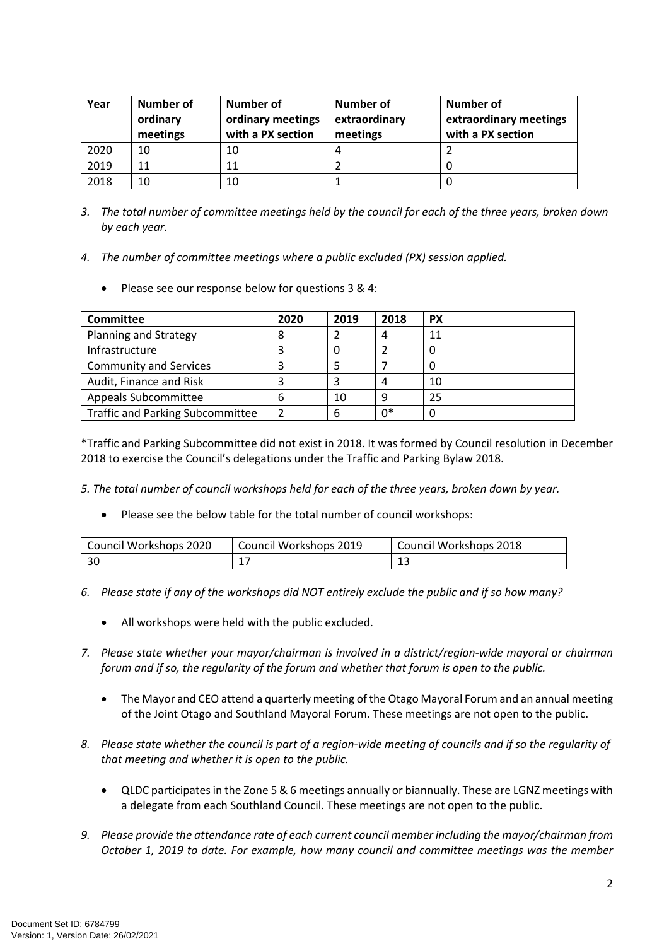| Year | Number of<br>ordinary<br>meetings | Number of<br>ordinary meetings<br>with a PX section | Number of<br>extraordinary<br>meetings | Number of<br>extraordinary meetings<br>with a PX section |
|------|-----------------------------------|-----------------------------------------------------|----------------------------------------|----------------------------------------------------------|
| 2020 | 10                                | 10                                                  | 4                                      |                                                          |
| 2019 | 11                                | 11                                                  |                                        |                                                          |
| 2018 | 10                                | 10                                                  |                                        |                                                          |

- *3. The total number of committee meetings held by the council for each of the three years, broken down by each year.*
- *4. The number of committee meetings where a public excluded (PX) session applied.*
	- Please see our response below for questions 3 & 4:

| Committee                               | 2020 | 2019 | 2018 | <b>PX</b> |
|-----------------------------------------|------|------|------|-----------|
| Planning and Strategy                   | 8    |      |      | 11        |
| Infrastructure                          |      |      |      |           |
| <b>Community and Services</b>           | 3    |      |      |           |
| Audit, Finance and Risk                 |      |      |      | 10        |
| Appeals Subcommittee                    | 6    | 10   | q    | 25        |
| <b>Traffic and Parking Subcommittee</b> | 2    | 6    | 0*   |           |

\*Traffic and Parking Subcommittee did not exist in 2018. It was formed by Council resolution in December 2018 to exercise the Council's delegations under the Traffic and Parking Bylaw 2018.

- *5. The total number of council workshops held for each of the three years, broken down by year.* 
	- Please see the below table for the total number of council workshops:

| Council Workshops 2020 | Council Workshops 2019 | Council Workshops 2018 |
|------------------------|------------------------|------------------------|
| l 30                   |                        |                        |

- *6. Please state if any of the workshops did NOT entirely exclude the public and if so how many?*
	- All workshops were held with the public excluded.
- *7. Please state whether your mayor/chairman is involved in a district/region-wide mayoral or chairman forum and if so, the regularity of the forum and whether that forum is open to the public.*
	- The Mayor and CEO attend a quarterly meeting of the Otago Mayoral Forum and an annual meeting of the Joint Otago and Southland Mayoral Forum. These meetings are not open to the public.
- *8. Please state whether the council is part of a region-wide meeting of councils and if so the regularity of that meeting and whether it is open to the public.*
	- QLDC participates in the Zone 5 & 6 meetings annually or biannually. These are LGNZ meetings with a delegate from each Southland Council. These meetings are not open to the public.
- *9. Please provide the attendance rate of each current council member including the mayor/chairman from October 1, 2019 to date. For example, how many council and committee meetings was the member*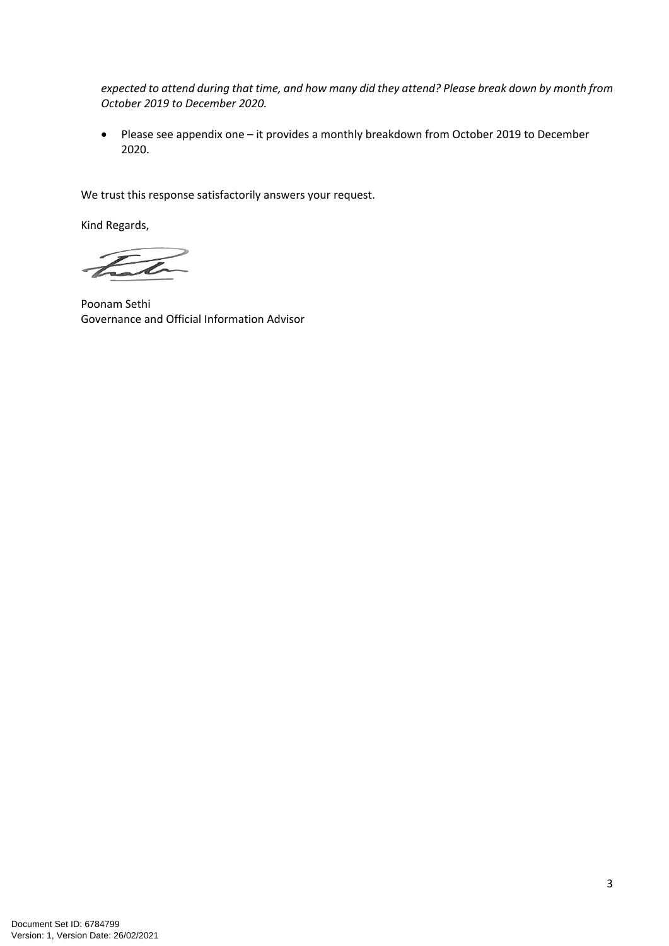*expected to attend during that time, and how many did they attend? Please break down by month from October 2019 to December 2020.*

 Please see appendix one – it provides a monthly breakdown from October 2019 to December 2020.

We trust this response satisfactorily answers your request.

Kind Regards,

Poonam Sethi Governance and Official Information Advisor